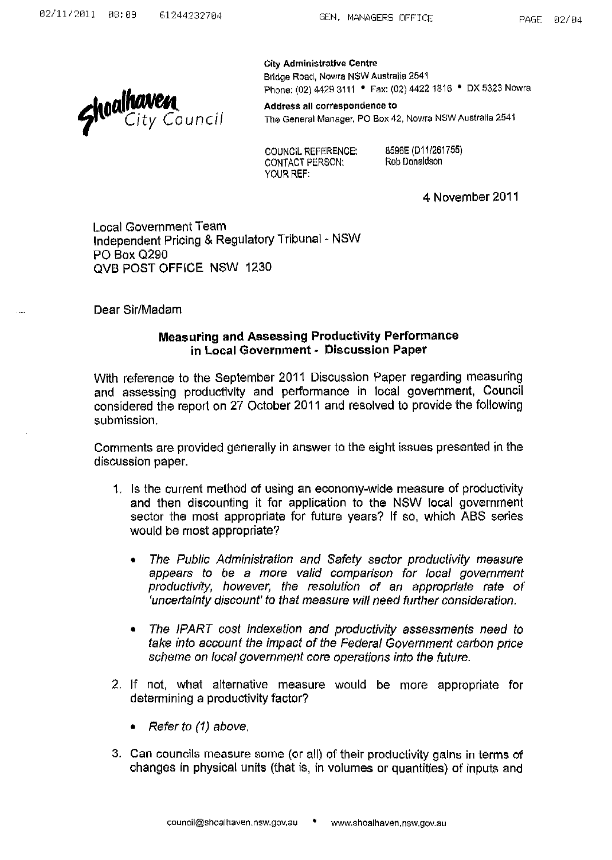

City Administrative Centre Bridge Road, Nowra NSW Australia 2541 Phone: (02) 4429 3111 • Fax: (02) 4422 1816 • DX 5323 Nowra

Address all correspondence to The General Manager, PO Box 42, Nowra NSW Australia 2541

COUNCIL REFERENCE: CONTACT PERSON: YOUR REF:

8596E (D11/261755) Rob Donaldson

4 November 2011

Local Government Team Independent Pricing & Regulatory Tribunal - NSW PO Box Q290 QVB POST OFFICE NSW 1230

Dear Sir/Madam

## Measuring and Assessing Productivity Performance in Local Government· Discussion Paper

With reference to the September 2011 Discussion Paper regarding measuring and assessing productivity and performance in local government, Council considered the report on 27 October 2011 and resolved to provide the following submission.

Comments are provided generally in answer to the eight issues presented in the discussion paper.

- 1. Is the current method of using an economy-wide measure of productivity and then discounting it for application to the NSW local government sector the most appropriate for future years? If so, which ABS series would be most appropriate?
	- The Public Administration and Safety sector productivity measure appears to be a more valid comparison for local government productivity, however, the resolution of an appropriate rate of 'uncertainty discount' to that measure will need further consideration.
	- The IPART cost indexation and productivity assessments need to take into account the impact of the Federal Government carbon price scheme on local government core operations into the future.
- 2. If not, what alternative measure would be more appropriate for determining a productivity factor?
	- Refer to (1) above.
- 3. Can councils measure some (or all) of their productivity gains in terms of changes in physical units (that is, in volumes or quantities) of inputs and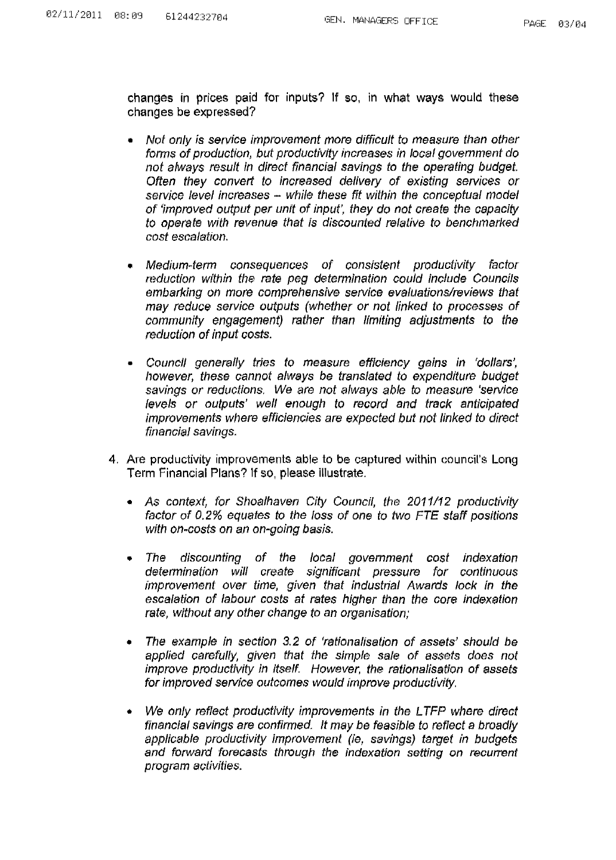changes **in** prices paid for inputs? If so, in what ways would these changes be expressed?

- Not only is service improvement more difficult to measure than other forms of production, but productivity increases in local govemment do not always result in direct financial savings to the operating budget. Often they convert to increased delivery of existing services or service level increases - while these fit within the conceptual model of 'improved output per unit of input', they do not create the capacity to operate with revenue that is discounted relative to benchmarked cost escalation.
- Medium-term consequences of consistent productivity factor reduction within the rate peg determination could include Councils embarking on more comprehensive service evaluations/reviews that may reduce service outputs (whether or not linked to processes of community engagement) rather than limiting adjustments to the reduction of input costs.
- Council generally tries to measure efficiency gains in 'dollars', however, these cannot always be translated to expenditure budget savings or reductions. We are not always able to measure 'service levels or outputs' well enough to record and track anticipated improvements where efficiencies are expected but not linked to direct financial savings.
- 4. Are productivity improvements able to be captured within council's Long Term Financial Plans? If so, please illustrate.
	- As context, for Shoalhaven City Council, the 2011/12 productivity factor of 0.2% equates to the loss of one to two FTE staff positions with on-costs on an on-going basis.
	- The discounting of the local government cost indexation determination will create significant pressure for continuous improvement over time, given that industrial Awards lock in the escalation of labour costs at rates higher than the core indexation rate, without any other change to an organisation;
	- The example in section 3.2 of 'rationalisation of assets' should be applied carefully, given that the simple sale of assets does not improve productivity in itself. However, the rationalisation of assets for improved service outcomes would improve productivity.
	- We only reflect productivity improvements in the LTFP where direct financial savings are confirmed. It may be feasible to reflect a broadly applicable productivity improvement (ie, savings) target in budgets and forward forecasts through the indexation setting on recurrent program activities.